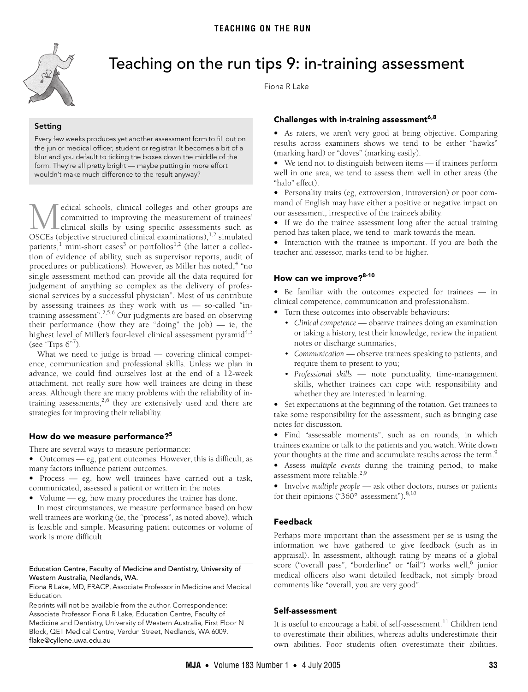<span id="page-0-0"></span>

# Teaching on the run tips 9: in-training assessment

Fiona R Lake

**Setting** Every few weeks produces yet another assessment form to fill out on the junior medical officer, student or registrar. It becomes a bit of a blur and you default to ticking the boxes down the middle of the form. They're all pretty bright — maybe putting in more effort wouldn't make much difference to the result anyway?

highest level of Miller's four-level clinical assessment pyramid<sup>[4,](#page-1-3)[5](#page-1-4)</sup> (see "Tips  $6"$ <sup>7</sup>). edical schools, clinical colleges and other groups are committed to improving the measurement of trainees' clinical skills by using specific assessments such as **CONCER (SET ALL STRANGE)** Committed to improving the measurement of trainess' clinical skills by using specific assessments such as OSCEs (objective structured clinical examinations),<sup>[1](#page-1-0),[2](#page-1-1)</sup> simulated patients,<sup>[1](#page-1-0)</sup> mini-short cases<sup>[3](#page-1-2)</sup> or portfolios<sup>1,[2](#page-1-1)</sup> (the latter a collection of evidence of ability, such as supervisor reports, audit of procedures or publications). However, as Miller has noted,<sup>[4](#page-1-3)</sup> "no single assessment method can provide all the data required for judgement of anything so complex as the delivery of professional services by a successful physician". Most of us contribute by assessing trainees as they work with us — so-called "intraining assessment".[2](#page-1-1),[5](#page-1-4),[6](#page-1-5) Our judgments are based on observing their performance (how they are "doing" the job) — ie, the

What we need to judge is broad - covering clinical competence, communication and professional skills. Unless we plan in advance, we could find ourselves lost at the end of a 12-week attachment, not really sure how well trainees are doing in these areas. Although there are many problems with the reliability of intraining assessments,  $2,6$  $2,6$  they are extensively used and there are strategies for improving their reliability.

### **How do we measure performance?[5](#page-1-4)**

There are several ways to measure performance:

**•** Outcomes — eg, patient outcomes. However, this is difficult, as many factors influence patient outcomes.

- **•** Process eg, how well trainees have carried out a task, communicated, assessed a patient or written in the notes.
- **•** Volume eg, how many procedures the trainee has done.

In most circumstances, we measure performance based on how well trainees are working (ie, the "process", as noted above), which is feasible and simple. Measuring patient outcomes or volume of work is more difficult.

#### Education Centre, Faculty of Medicine and Dentistry, University of Western Australia, Nedlands, WA.

Fiona R Lake, MD, FRACP, Associate Professor in Medicine and Medical Education.

Reprints will not be available from the author. Correspondence: Associate Professor Fiona R Lake, Education Centre, Faculty of Medicine and Dentistry, University of Western Australia, First Floor N Block, QEII Medical Centre, Verdun Street, Nedlands, WA 6009. flake@cyllene.uwa.edu.au

### **Challenges with in-training assessment[6](#page-1-5)[,8](#page-1-7)**

**•** As raters, we aren't very good at being objective. Comparing results across examiners shows we tend to be either "hawks" (marking hard) or "doves" (marking easily).

**•** We tend not to distinguish between items — if trainees perform well in one area, we tend to assess them well in other areas (the "halo" effect).

**•** Personality traits (eg, extroversion, introversion) or poor command of English may have either a positive or negative impact on our assessment, irrespective of the trainee's ability.

**•** If we do the trainee assessment long after the actual training period has taken place, we tend to mark towards the mean.

**•** Interaction with the trainee is important. If you are both the teacher and assessor, marks tend to be higher.

## **How can we improve?[8-](#page-1-7)[10](#page-1-8)**

**•** Be familiar with the outcomes expected for trainees — in clinical competence, communication and professionalism.

- **•** Turn these outcomes into observable behaviours:
	- *Clinical competence* observe trainees doing an examination or taking a history, test their knowledge, review the inpatient notes or discharge summaries;
	- *Communication* observe trainees speaking to patients, and require them to present to you;
	- *Professional skills* note punctuality, time-management skills, whether trainees can cope with responsibility and whether they are interested in learning.

**•** Set expectations at the beginning of the rotation. Get trainees to take some responsibility for the assessment, such as bringing case notes for discussion.

**•** Find "assessable moments", such as on rounds, in which trainees examine or talk to the patients and you watch. Write down your thoughts at the time and accumulate results across the term.<sup>[9](#page-1-9)</sup>

**•** Assess *multiple events* during the training period, to make assessment more reliable.<sup>[2](#page-1-1)[,9](#page-1-9)</sup>

**•** Involve *multiple people* — ask other doctors, nurses or patients for their opinions (" $360^\circ$  assessment").  $8,10$  $8,10$  $8,10$ 

#### **Feedback**

Perhaps more important than the assessment per se is using the information we have gathered to give feedback (such as in appraisal). In assessment, although rating by means of a global score ("overall pass", "borderline" or "fail") works well,<sup>[6](#page-1-5)</sup> junior medical officers also want detailed feedback, not simply broad comments like "overall, you are very good".

#### **Self-assessment**

It is useful to encourage a habit of self-assessment.<sup>11</sup> Children tend to overestimate their abilities, whereas adults underestimate their own abilities. Poor students often overestimate their abilities.